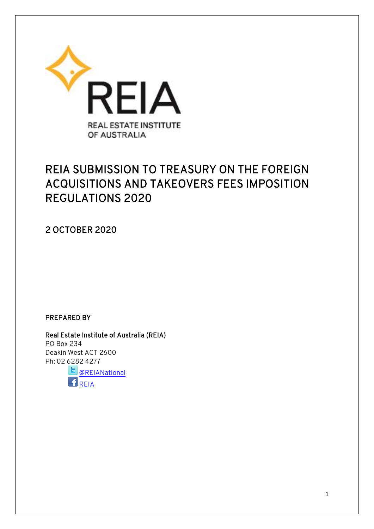

# REIA SUBMISSION TO TREASURY ON THE FOREIGN ACQUISITIONS AND TAKEOVERS FEES IMPOSITION REGULATIONS 2020

2 OCTOBER 2020

PREPARED BY

Real Estate Institute of Australia (REIA) PO Box 234 Deakin West ACT 2600 Ph: 02 6282 4277

**D** [@REIANational](https://twitter.com/REIANational) [REIA](https://www.facebook.com/pages/Real-Estate-Institute-of-Australia-REIA/304742799577937?fref=ts)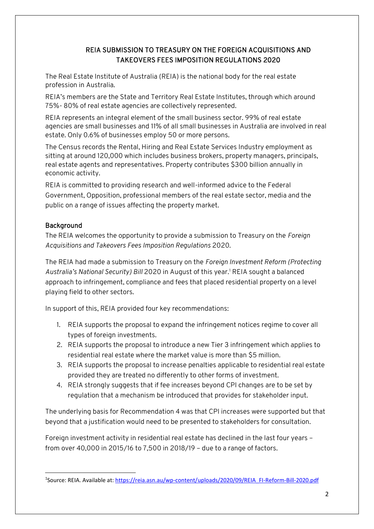### REIA SUBMISSION TO TREASURY ON THE FOREIGN ACQUISITIONS AND TAKEOVERS FEES IMPOSITION REGULATIONS 2020

The Real Estate Institute of Australia (REIA) is the national body for the real estate profession in Australia.

REIA's members are the State and Territory Real Estate Institutes, through which around 75%- 80% of real estate agencies are collectively represented.

REIA represents an integral element of the small business sector. 99% of real estate agencies are small businesses and 11% of all small businesses in Australia are involved in real estate. Only 0.6% of businesses employ 50 or more persons.

The Census records the Rental, Hiring and Real Estate Services Industry employment as sitting at around 120,000 which includes business brokers, property managers, principals, real estate agents and representatives. Property contributes \$300 billion annually in economic activity.

REIA is committed to providing research and well-informed advice to the Federal Government, Opposition, professional members of the real estate sector, media and the public on a range of issues affecting the property market.

### Background

The REIA welcomes the opportunity to provide a submission to Treasury on the *Foreign Acquisitions and Takeovers Fees Imposition Regulations* 2020.

The REIA had made a submission to Treasury on the *Foreign Investment Reform (Protecting Australia's National Security) Bill* 2020 in August of this year.<sup>1</sup> REIA sought a balanced approach to infringement, compliance and fees that placed residential property on a level playing field to other sectors.

In support of this, REIA provided four key recommendations:

- 1. REIA supports the proposal to expand the infringement notices regime to cover all types of foreign investments.
- 2. REIA supports the proposal to introduce a new Tier 3 infringement which applies to residential real estate where the market value is more than \$5 million.
- 3. REIA supports the proposal to increase penalties applicable to residential real estate provided they are treated no differently to other forms of investment.
- 4. REIA strongly suggests that if fee increases beyond CPI changes are to be set by regulation that a mechanism be introduced that provides for stakeholder input.

The underlying basis for Recommendation 4 was that CPI increases were supported but that beyond that a justification would need to be presented to stakeholders for consultation.

Foreign investment activity in residential real estate has declined in the last four years – from over 40,000 in 2015/16 to 7,500 in 2018/19 – due to a range of factors.

**<sup>.</sup>** <sup>1</sup>Source: REIA. Available at: [https://reia.asn.au/wp-content/uploads/2020/09/REIA\\_FI-Reform-Bill-2020.pdf](https://reia.asn.au/wp-content/uploads/2020/09/REIA_FI-Reform-Bill-2020.pdf)